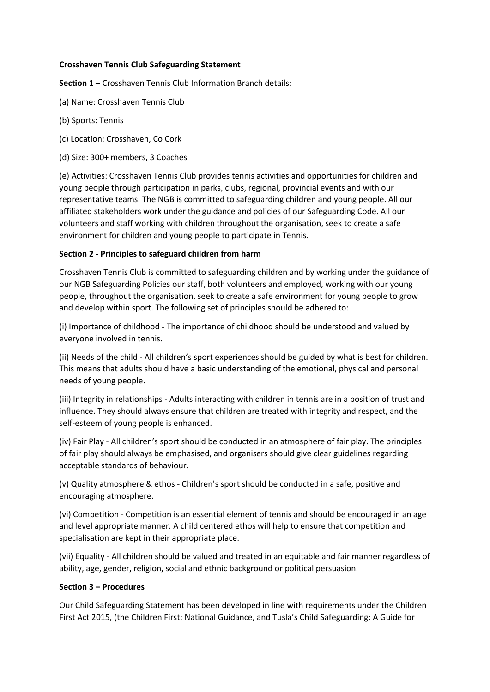### **Crosshaven Tennis Club Safeguarding Statement**

**Section 1** – Crosshaven Tennis Club Information Branch details:

- (a) Name: Crosshaven Tennis Club
- (b) Sports: Tennis
- (c) Location: Crosshaven, Co Cork
- (d) Size: 300+ members, 3 Coaches

(e) Activities: Crosshaven Tennis Club provides tennis activities and opportunities for children and young people through participation in parks, clubs, regional, provincial events and with our representative teams. The NGB is committed to safeguarding children and young people. All our affiliated stakeholders work under the guidance and policies of our Safeguarding Code. All our volunteers and staff working with children throughout the organisation, seek to create a safe environment for children and young people to participate in Tennis.

## **Section 2 - Principles to safeguard children from harm**

Crosshaven Tennis Club is committed to safeguarding children and by working under the guidance of our NGB Safeguarding Policies our staff, both volunteers and employed, working with our young people, throughout the organisation, seek to create a safe environment for young people to grow and develop within sport. The following set of principles should be adhered to:

(i) Importance of childhood - The importance of childhood should be understood and valued by everyone involved in tennis.

(ii) Needs of the child - All children's sport experiences should be guided by what is best for children. This means that adults should have a basic understanding of the emotional, physical and personal needs of young people.

(iii) Integrity in relationships - Adults interacting with children in tennis are in a position of trust and influence. They should always ensure that children are treated with integrity and respect, and the self-esteem of young people is enhanced.

(iv) Fair Play - All children's sport should be conducted in an atmosphere of fair play. The principles of fair play should always be emphasised, and organisers should give clear guidelines regarding acceptable standards of behaviour.

(v) Quality atmosphere & ethos - Children's sport should be conducted in a safe, positive and encouraging atmosphere.

(vi) Competition - Competition is an essential element of tennis and should be encouraged in an age and level appropriate manner. A child centered ethos will help to ensure that competition and specialisation are kept in their appropriate place.

(vii) Equality - All children should be valued and treated in an equitable and fair manner regardless of ability, age, gender, religion, social and ethnic background or political persuasion.

#### **Section 3 – Procedures**

Our Child Safeguarding Statement has been developed in line with requirements under the Children First Act 2015, (the Children First: National Guidance, and Tusla's Child Safeguarding: A Guide for